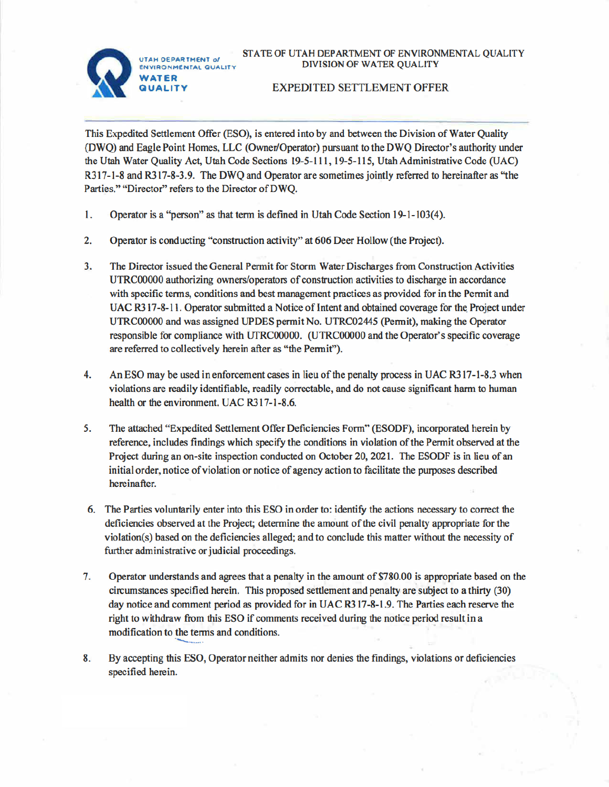UTAH OF PARTMENT of ENVIRONMENTAL QUALITY



## STATE OF UTAH DEPARTMENT OF ENVIRONMENTAL QUALITY DIVISION OF WATER QUALITY

## **EXPEDITED SETTLEMENT OFFER**

This Expedited Settlement Offer (ESO), is entered into by and between the Division of Water Quality (DWQ) and Eagle Point Homes, LLC (Owner/Operator) pursuant to the DWQ Director's authority under the Utah Water Quality Act, Utah Code Sections 19-5-111, 19-5-115, Utah Administrative Code (UAC) R317-1-8 and R317-8-3.9. The DWQ and Operator are sometimes jointly referred to hereinafter as "the Parties," "Director" refers to the Director of DWO.

- $1.$ Operator is a "person" as that term is defined in Utah Code Section 19-1-103(4).
- 2. Operator is conducting "construction activity" at 606 Deer Hollow (the Project).
- $3<sub>1</sub>$ The Director issued the General Permit for Storm Water Discharges from Construction Activities UTRC00000 authorizing owners/operators of construction activities to discharge in accordance with specific terms, conditions and best management practices as provided for in the Permit and UAC R317-8-11. Operator submitted a Notice of Intent and obtained coverage for the Project under UTRC00000 and was assigned UPDES permit No. UTRC02445 (Permit), making the Operator responsible for compliance with UTRC00000. (UTRC00000 and the Operator's specific coverage are referred to collectively herein after as "the Permit").
- 4. An ESO may be used in enforcement cases in lieu of the penalty process in UAC R317-1-8.3 when violations are readily identifiable, readily correctable, and do not cause significant harm to human health or the environment. UAC R317-1-8.6.
- 5. The attached "Expedited Settlement Offer Deficiencies Form" (ESODF), incorporated herein by reference, includes findings which specify the conditions in violation of the Permit observed at the Project during an on-site inspection conducted on October 20, 2021. The ESODF is in lieu of an initial order, notice of violation or notice of agency action to facilitate the purposes described hereinafter.
- 6. The Parties voluntarily enter into this ESO in order to: identify the actions necessary to correct the deficiencies observed at the Project; determine the amount of the civil penalty appropriate for the violation(s) based on the deficiencies alleged; and to conclude this matter without the necessity of further administrative or judicial proceedings.
- Operator understands and agrees that a penalty in the amount of \$780.00 is appropriate based on the  $7.$ circumstances specified herein. This proposed settlement and penalty are subject to a thirty (30) day notice and comment period as provided for in UAC R317-8-1.9. The Parties each reserve the right to withdraw from this ESO if comments received during the notice period result in a modification to the terms and conditions.
- 8. By accepting this ESO, Operator neither admits nor denies the findings, violations or deficiencies specified herein.